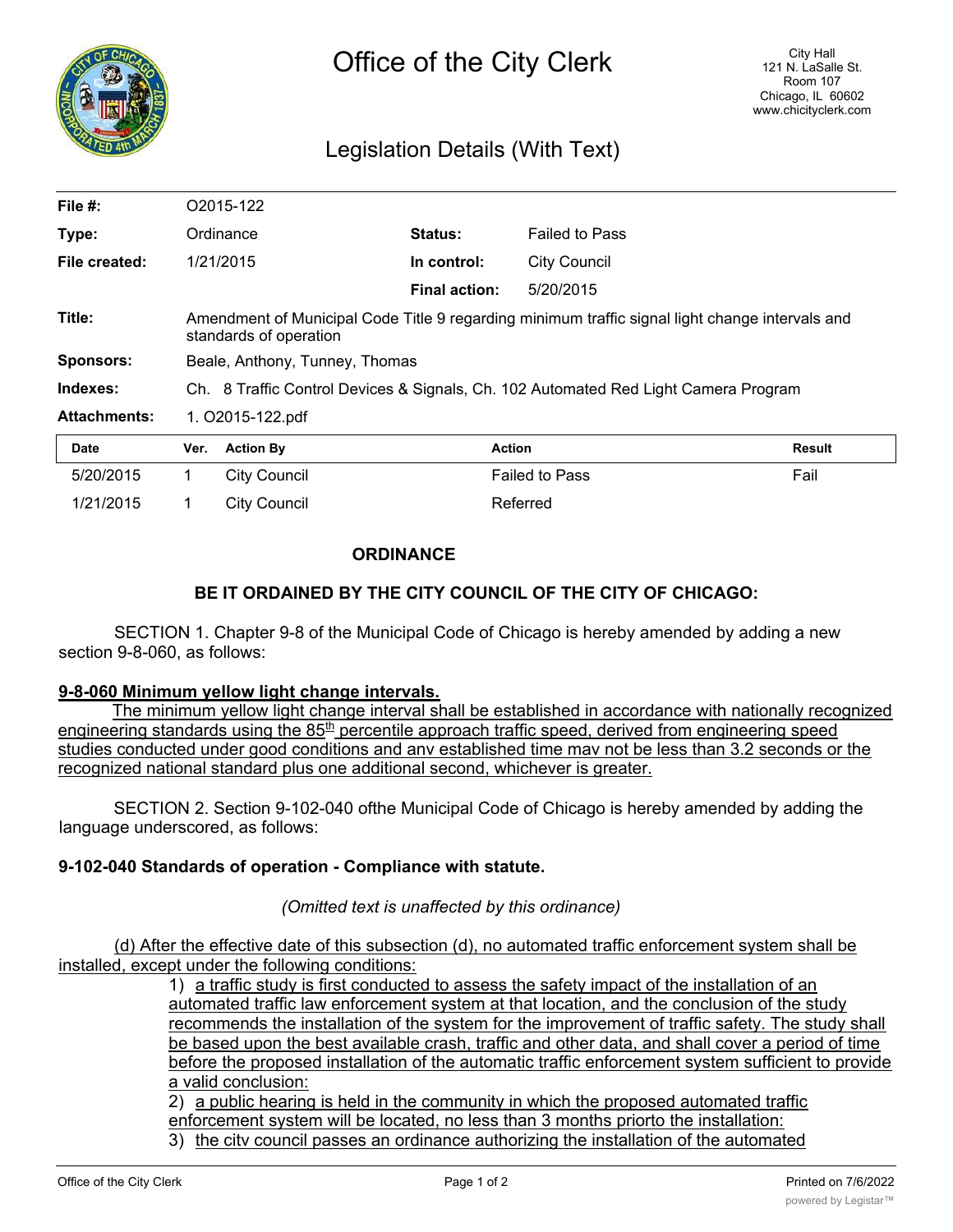

# Legislation Details (With Text)

| File $#$ :          |                                                                                                                           | O2015-122           |                |                       |        |
|---------------------|---------------------------------------------------------------------------------------------------------------------------|---------------------|----------------|-----------------------|--------|
| Type:               |                                                                                                                           | Ordinance           | <b>Status:</b> | <b>Failed to Pass</b> |        |
| File created:       | 1/21/2015                                                                                                                 |                     | In control:    | <b>City Council</b>   |        |
|                     |                                                                                                                           |                     | Final action:  | 5/20/2015             |        |
| Title:              | Amendment of Municipal Code Title 9 regarding minimum traffic signal light change intervals and<br>standards of operation |                     |                |                       |        |
| <b>Sponsors:</b>    | Beale, Anthony, Tunney, Thomas                                                                                            |                     |                |                       |        |
| Indexes:            | Ch. 8 Traffic Control Devices & Signals, Ch. 102 Automated Red Light Camera Program                                       |                     |                |                       |        |
| <b>Attachments:</b> | 1. O2015-122.pdf                                                                                                          |                     |                |                       |        |
| <b>Date</b>         | Ver.                                                                                                                      | <b>Action By</b>    | <b>Action</b>  |                       | Result |
| 5/20/2015           | 1.                                                                                                                        | <b>City Council</b> |                | <b>Failed to Pass</b> | Fail   |
| 1/21/2015           |                                                                                                                           | <b>City Council</b> |                | Referred              |        |

## **ORDINANCE**

## **BE IT ORDAINED BY THE CITY COUNCIL OF THE CITY OF CHICAGO:**

SECTION 1. Chapter 9-8 of the Municipal Code of Chicago is hereby amended by adding a new section 9-8-060, as follows:

#### **9-8-060 Minimum yellow light change intervals.**

The minimum yellow light change interval shall be established in accordance with nationally recognized engineering standards using the 85<sup>th</sup> percentile approach traffic speed, derived from engineering speed studies conducted under good conditions and anv established time mav not be less than 3.2 seconds or the recognized national standard plus one additional second, whichever is greater.

SECTION 2. Section 9-102-040 ofthe Municipal Code of Chicago is hereby amended by adding the language underscored, as follows:

#### **9-102-040 Standards of operation - Compliance with statute.**

*(Omitted text is unaffected by this ordinance)*

(d) After the effective date of this subsection (d), no automated traffic enforcement system shall be installed, except under the following conditions:

1) a traffic study is first conducted to assess the safety impact of the installation of an automated traffic law enforcement system at that location, and the conclusion of the study recommends the installation of the system for the improvement of traffic safety. The study shall be based upon the best available crash, traffic and other data, and shall cover a period of time before the proposed installation of the automatic traffic enforcement system sufficient to provide a valid conclusion:

2) a public hearing is held in the community in which the proposed automated traffic enforcement system will be located, no less than 3 months priorto the installation:

3) the citv council passes an ordinance authorizing the installation of the automated